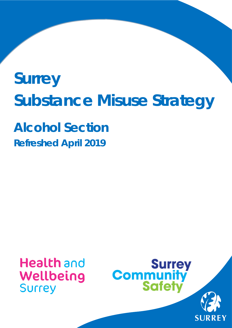# **Surrey Substance Misuse Strategy**

**Alcohol Section Refreshed April 2019**

ww.surreycc.gov.uk

# **Health** and Wellbeing **Surrey**



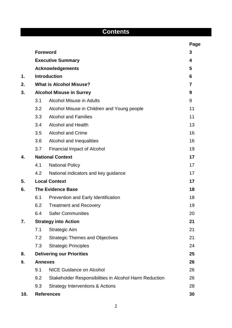| <b>Contents</b> |                                     |                                                        |      |  |  |
|-----------------|-------------------------------------|--------------------------------------------------------|------|--|--|
|                 |                                     |                                                        | Page |  |  |
|                 |                                     | <b>Foreword</b>                                        | 3    |  |  |
|                 |                                     | <b>Executive Summary</b>                               | 4    |  |  |
|                 |                                     | <b>Acknowledgements</b>                                | 5    |  |  |
| 1.              |                                     | <b>Introduction</b>                                    | 6    |  |  |
| 2.              | <b>What is Alcohol Misuse?</b><br>7 |                                                        |      |  |  |
| 3.              | <b>Alcohol Misuse in Surrey</b>     |                                                        |      |  |  |
|                 | 3.1                                 | <b>Alcohol Misuse in Adults</b>                        | 9    |  |  |
|                 | 3.2                                 | Alcohol Misuse in Children and Young people            | 11   |  |  |
|                 | 3.3                                 | <b>Alcohol and Families</b>                            | 11   |  |  |
|                 | 3.4                                 | <b>Alcohol and Health</b>                              | 13   |  |  |
|                 | 3.5                                 | <b>Alcohol and Crime</b>                               | 16   |  |  |
|                 | 3.6                                 | Alcohol and Inequalities                               | 16   |  |  |
|                 | 3.7                                 | Financial Impact of Alcohol                            | 19   |  |  |
| 4.              | <b>National Context</b>             |                                                        | 17   |  |  |
|                 | 4.1                                 | <b>National Policy</b>                                 | 17   |  |  |
|                 | 4.2                                 | National indicators and key guidance                   | 17   |  |  |
| 5.              |                                     | <b>Local Context</b>                                   | 17   |  |  |
| 6.              | <b>The Evidence Base</b>            | 18                                                     |      |  |  |
|                 | 6.1                                 | Prevention and Early Identification                    | 18   |  |  |
|                 | 6.2                                 | <b>Treatment and Recovery</b>                          | 19   |  |  |
|                 | 6.4                                 | <b>Safer Communities</b>                               | 20   |  |  |
| 7.              |                                     | <b>Strategy into Action</b>                            | 21   |  |  |
|                 | 7.1                                 | <b>Strategic Aim</b>                                   | 21   |  |  |
|                 | 7.2                                 | <b>Strategic Themes and Objectives</b>                 | 21   |  |  |
|                 | 7.3                                 | <b>Strategic Principles</b>                            | 24   |  |  |
| 8.              |                                     | <b>Delivering our Priorities</b>                       | 25   |  |  |
| 9.              |                                     | <b>Annexes</b>                                         |      |  |  |
|                 | 9.1                                 | <b>NICE Guidance on Alcohol</b>                        | 26   |  |  |
|                 | 9.2                                 | Stakeholder Responsibilities in Alcohol Harm Reduction | 26   |  |  |
|                 | 9.3                                 | <b>Strategy Interventions &amp; Actions</b>            | 28   |  |  |
| 10.             |                                     | <b>References</b>                                      | 30   |  |  |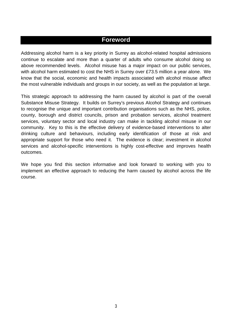#### **Foreword**

Addressing alcohol harm is a key priority in Surrey as alcohol-related hospital admissions continue to escalate and more than a quarter of adults who consume alcohol doing so above recommended levels. Alcohol misuse has a major impact on our public services, with alcohol harm estimated to cost the NHS in Surrey over £73.5 million a year alone. We know that the social, economic and health impacts associated with alcohol misuse affect the most vulnerable individuals and groups in our society, as well as the population at large.

This strategic approach to addressing the harm caused by alcohol is part of the overall Substance Misuse Strategy. It builds on Surrey's previous Alcohol Strategy and continues to recognise the unique and important contribution organisations such as the NHS, police, county, borough and district councils, prison and probation services, alcohol treatment services, voluntary sector and local industry can make in tackling alcohol misuse in our community. Key to this is the effective delivery of evidence-based interventions to alter drinking culture and behaviours, including early identification of those at risk and appropriate support for those who need it. The evidence is clear; investment in alcohol services and alcohol-specific interventions is highly cost-effective and improves health outcomes.

We hope you find this section informative and look forward to working with you to implement an effective approach to reducing the harm caused by alcohol across the life course.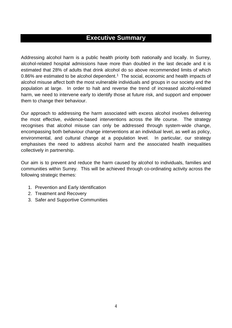# <span id="page-3-0"></span>**Executive Summary**

Addressing alcohol harm is a public health priority both nationally and locally. In Surrey, alcohol-related hospital admissions have more than doubled in the last decade and it is estimated that 28% of adults that drink alcohol do so above recommended limits of which 0.86% are estimated to be alcohol dependent.<sup>[1](#page-30-0)</sup> The social, economic and health impacts of alcohol misuse affect both the most vulnerable individuals and groups in our society and the population at large. In order to halt and reverse the trend of increased alcohol-related harm, we need to intervene early to identify those at future risk, and support and empower them to change their behaviour.

Our approach to addressing the harm associated with excess alcohol involves delivering the most effective, evidence-based interventions across the life course. The strategy recognises that alcohol misuse can only be addressed through system-wide change, encompassing both behaviour change interventions at an individual level, as well as policy, environmental, and cultural change at a population level. In particular, our strategy emphasises the need to address alcohol harm and the associated health inequalities collectively in partnership.

Our aim is to prevent and reduce the harm caused by alcohol to individuals, families and communities within Surrey. This will be achieved through co-ordinating activity across the following strategic themes:

- 1. Prevention and Early Identification
- 2. Treatment and Recovery
- 3. Safer and Supportive Communities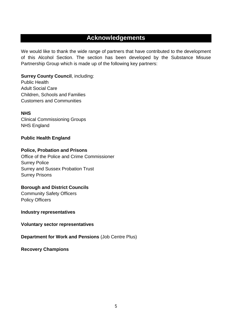# **Acknowledgements**

We would like to thank the wide range of partners that have contributed to the development of this Alcohol Section. The section has been developed by the Substance Misuse Partnership Group which is made up of the following key partners:

**Surrey County Council**, including: Public Health Adult Social Care Children, Schools and Families Customers and Communities

#### **NHS**

Clinical Commissioning Groups NHS England

#### **Public Health England**

#### **Police, Probation and Prisons**

Office of the Police and Crime Commissioner Surrey Police Surrey and Sussex Probation Trust Surrey Prisons

#### **Borough and District Councils**

Community Safety Officers Policy Officers

#### **Industry representatives**

**Voluntary sector representatives**

**Department for Work and Pensions** (Job Centre Plus)

**Recovery Champions**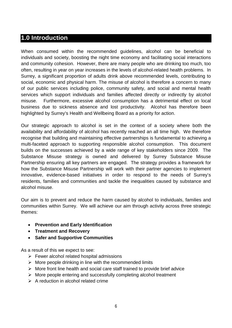# **1.0 Introduction**

When consumed within the recommended guidelines, alcohol can be beneficial to individuals and society, boosting the night time economy and facilitating social interactions and community cohesion. However, there are many people who are drinking too much, too often, resulting in year on year increases in the levels of alcohol-related health problems. In Surrey, a significant proportion of adults drink above recommended levels, contributing to social, economic and physical harm. The misuse of alcohol is therefore a concern to many of our public services including police, community safety, and social and mental health services which support individuals and families affected directly or indirectly by alcohol misuse. Furthermore, excessive alcohol consumption has a detrimental effect on local business due to sickness absence and lost productivity. Alcohol has therefore been highlighted by Surrey's Health and Wellbeing Board as a priority for action.

Our strategic approach to alcohol is set in the context of a society where both the availability and affordability of alcohol has recently reached an all time high. We therefore recognise that building and maintaining effective partnerships is fundamental to achieving a multi-faceted approach to supporting responsible alcohol consumption. This document builds on the successes achieved by a wide range of key stakeholders since 2009. The Substance Misuse strategy is owned and delivered by Surrey Substance Misuse Partnership ensuring all key partners are engaged. The strategy provides a framework for how the Substance Misuse Partnership will work with their partner agencies to implement innovative, evidence-based initiatives in order to respond to the needs of Surrey's residents, families and communities and tackle the inequalities caused by substance and alcohol misuse.

Our aim is to prevent and reduce the harm caused by alcohol to individuals, families and communities within Surrey. We will achieve our aim through activity across three strategic themes:

- **Prevention and Early Identification**
- **Treatment and Recovery**
- **Safer and Supportive Communities**

As a result of this we expect to see:

- $\triangleright$  Fewer alcohol related hospital admissions
- $\triangleright$  More people drinking in line with the recommended limits
- $\triangleright$  More front line health and social care staff trained to provide brief advice
- $\triangleright$  More people entering and successfully completing alcohol treatment
- $\triangleright$  A reduction in alcohol related crime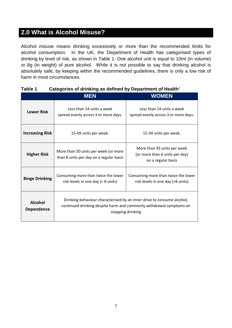# **2.0 What is Alcohol Misuse?**

Alcohol misuse means drinking excessively or more than the recommended limits for alcohol consumption. In the UK, the Department of Health has categorised types of drinking by level of risk, as shown in Table 1. One alcohol unit is equal to 10ml (in volume) or 8g (in weight) of pure alcohol. While it is not possible to say that drinking alcohol is absolutely safe, by keeping within the recommended guidelines, there is only a low risk of harm in most circumstances.

|                                     | <b>MEN</b>                                                                                                                                                         | <b>WOMEN</b>                                                                        |
|-------------------------------------|--------------------------------------------------------------------------------------------------------------------------------------------------------------------|-------------------------------------------------------------------------------------|
| <b>Lower Risk</b>                   | Less than 14 units a week<br>spread evenly across 3 or more days.                                                                                                  | Less than 14 units a week<br>spread evenly across 3 or more days.                   |
| <b>Increasing Risk</b>              | 15-49 units per week.                                                                                                                                              | 15-34 units per week.                                                               |
| <b>Higher Risk</b>                  | More than 50 units per week (or more<br>than 8 units per day on a regular basis                                                                                    | More than 35 units per week<br>(or more than 6 units per day)<br>on a regular basis |
| <b>Binge Drinking</b>               | Consuming more than twice the lower<br>risk levels in one day (> 8 units)                                                                                          | Consuming more than twice the lower<br>risk levels in one day (>6 units)            |
| <b>Alcohol</b><br><b>Dependence</b> | Drinking behaviour characterised by an inner drive to consume alcohol,<br>continued drinking despite harm and commonly withdrawal symptoms on<br>stopping drinking |                                                                                     |

#### **Table 1 Categories of drinking as defined by Department of Health**[2](#page-30-1)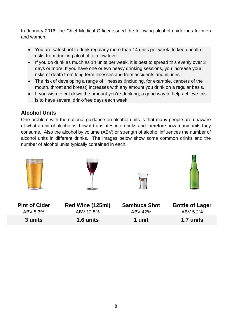In January 2016, the Chief Medical Officer issued the following alcohol guidelines for men and women:

- You are safest not to drink regularly more than 14 units per week, to keep health risks from drinking alcohol to a low level.
- If you do drink as much as 14 units per week, it is best to spread this evenly over 3 days or more. If you have one or two heavy drinking sessions, you increase your risks of death from long term illnesses and from accidents and injuries.
- The risk of developing a range of illnesses (including, for example, cancers of the mouth, throat and breast) increases with any amount you drink on a regular basis.
- If you wish to cut down the amount you're drinking, a good way to help achieve this is to have several drink-free days each week.

#### **Alcohol Units**

One problem with the national guidance on alcohol units is that many people are unaware of what a unit of alcohol is, how it translates into drinks and therefore how many units they consume. Also the alcohol by volume (ABV) or strength of alcohol influences the number of alcohol units in different drinks. The images below show some common drinks and the number of alcohol units typically contained in each:

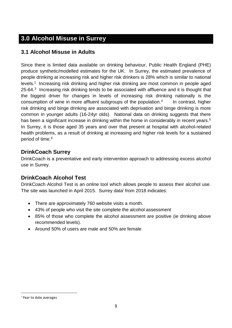# **3.0 Alcohol Misuse in Surrey**

#### **3.1 Alcohol Misuse in Adults**

Since there is limited data available on drinking behaviour, Public Health England (PHE) produce synthetic/modelled estimates for the UK. In Surrey, the estimated prevalence of people drinking at increasing risk and higher risk drinkers is 28% which is similar to national levels. [1](#page-3-0) Increasing risk drinking and higher risk drinking are most common in people aged 25-64.<sup>[3](#page-30-2)</sup> Increasing risk drinking tends to be associated with affluence and it is thought that the biggest driver for changes in levels of increasing risk drinking nationally is the consumption of wine in more affluent subgroups of the population. In contrast, higher risk drinking and binge drinking are associated with deprivation and binge drinking is more common in younger adults (16-24yr olds). National data on drinking suggests that there has been a significant increase in drinking within the home in considerably in recent years.<sup>[5](#page-30-4)</sup> In Surrey, it is those aged 35 years and over that present at hospital with alcohol-related health problems, as a result of drinking at increasing and higher risk levels for a sustained period of time. [6](#page-30-5)

#### **DrinkCoach Surrey**

DrinkCoach is a preventative and early intervention approach to addressing excess alcohol use in Surrey.

#### **DrinkCoach Alcohol Test**

DrinkCoach Alcohol Test is an online tool which allows people to assess their alcohol use. The s[i](#page-8-0)te was launched in April 2015. Surrey data from 2018 indicates:

- There are approximately 760 website visits a month.
- 43% of people who visit the site complete the alcohol assessment
- 85% of those who complete the alcohol assessment are positive (ie drinking above recommended levels).
- Around 50% of users are male and 50% are female

<u>.</u>

<span id="page-8-0"></span><sup>&</sup>lt;sup>i</sup> Year to date averages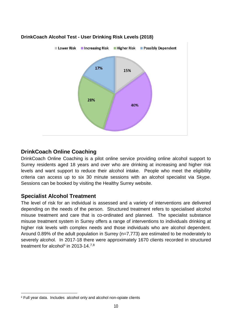

#### **DrinkCoach Alcohol Test - User Drinking Risk Levels (2018)**

#### **DrinkCoach Online Coaching**

DrinkCoach Online Coaching is a pilot online service providing online alcohol support to Surrey residents aged 18 years and over who are drinking at increasing and higher risk levels and want support to reduce their alcohol intake. People who meet the eligibility criteria can access up to six 30 minute sessions with an alcohol specialist via Skype. Sessions can be booked by visiting the Healthy Surrey website.

#### **Specialist Alcohol Treatment**

The level of risk for an individual is assessed and a variety of interventions are delivered depending on the needs of the person. Structured treatment refers to specialised alcohol misuse treatment and care that is co-ordinated and planned. The specialist substance misuse treatment system in Surrey offers a range of interventions to individuals drinking at higher risk levels with complex needs and those individuals who are alcohol dependent. Around 0.89% of the adult population in Surrey (n=7,773) are estimated to be moderately to severely alcohol. In 2017-18 there were approximately 1670 clients recorded in structured treatment for alcohol<sup>[ii](#page-9-0)</sup> in 2013-14.<sup>[7,](#page-30-6)[8](#page-30-7)</sup>

<span id="page-9-0"></span>ii Full year data. Includes alcohol only and alcohol non-opiate clients <u>.</u>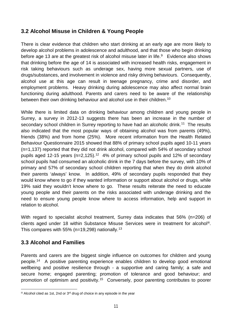#### **3.2 Alcohol Misuse in Children & Young People**

There is clear evidence that children who start drinking at an early age are more likely to develop alcohol problems in adolescence and adulthood, and that those who begin drinking before age 13 are at the greatest risk of alcohol misuse later in life.<sup>9</sup> Evidence also shows that drinking before the age of 14 is associated with increased health risks, engagement in risk taking behaviours such as underage sex, having more sexual partners, use of drugs/substances, and involvement in violence and risky driving behaviours. Consequently, alcohol use at this age can result in teenage pregnancy, crime and disorder, and employment problems. Heavy drinking during adolescence may also affect normal brain functioning during adulthood. Parents and carers need to be aware of the relationship between their own drinking behaviour and alcohol use in their children.<sup>[10](#page-30-9)</sup>

While there is limited data on drinking behaviour among children and young people in Surrey, a survey in 2012-13 suggests there has been an increase in the number of secondary school children in Surrey reporting to have had an alcoholic drink.<sup>[11](#page-30-10)</sup> The results also indicated that the most popular ways of obtaining alcohol was from parents (49%), friends (38%) and from home (25%). More recent information from the Health Related Behaviour Questionnaire 2015 showed that 88% of primary school pupils aged 10-11 years (n=1,137) reported that they did not drink alcohol, compared with 54% of secondary school pupils aged [12](#page-30-11)-15 years ( $n=2,125$ ).<sup>12</sup> 4% of primary school pupils and 12% of secondary school pupils had consumed an alcoholic drink in the 7 days before the survey, with 10% of primary and 57% of secondary school children reporting that when they do drink alcohol their parents 'always' know. In addition, 49% of secondary pupils responded that they would know where to go if they wanted information or support about alcohol or drugs, while 19% said they wouldn't know where to go. These results reiterate the need to educate young people and their parents on the risks associated with underage drinking and the need to ensure young people know where to access information, help and support in relation to alcohol.

With regard to specialist alcohol treatment, Surrey data indicates that 56% (n=206) of clients aged under 18 within Substance Misuse Services were in treatment for alcohol[iii](#page-10-0). This compares with 55% ( $n=19,298$ ) nationally.<sup>[13](#page-30-12)</sup>

#### **3.3 Alcohol and Families**

Parents and carers are the biggest single influence on outcomes for children and young people. [14](#page-30-13) A positive parenting experience enables children to develop good emotional wellbeing and positive resilience through - a supportive and caring family; a safe and secure home; engaged parenting; promotion of tolerance and good behaviour; and promotion of optimism and positivity.[15](#page-30-14) Conversely, poor parenting contributes to poorer

<span id="page-10-0"></span>iii Alcohol cited as 1st, 2nd or 3<sup>rd</sup> drug of choice in any episode in the year -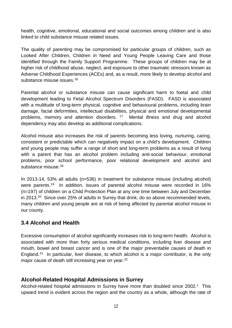health, cognitive, emotional, educational and social outcomes among children and is also linked to child substance misuse related issues.

The quality of parenting may be compromised for particular groups of children, such as Looked After Children, Children in Need and Young People Leaving Care and those identified through the Family Support Programme. These groups of children may be at higher risk of childhood abuse, neglect, and exposure to other traumatic stressors known as Adverse Childhood Experiences (ACEs) and, as a result, more likely to develop alcohol and substance misuse issues. [16](#page-30-15)

Parental alcohol or substance misuse can cause significant harm to foetal and child development leading to Fetal Alcohol Spectrum Disorders (FASD). FASD is associated with a multitude of long-term physical, cognitive and behavioural problems, including brain damage, facial deformities, intellectual disabilities, physical and emotional developmental problems, memory and attention disorders. [17](#page-30-16) Mental illness and drug and alcohol dependency may also develop as additional complications.

Alcohol misuse also increases the risk of parents becoming less loving, nurturing, caring, consistent or predictable which can negatively impact on a child's development. Children and young people may suffer a range of short and long-term problems as a result of living with a parent that has an alcohol problem including anti-social behaviour, emotional problems, poor school performance, poor relational development and alcohol and substance misuse.<sup>[18](#page-30-17)</sup>

<span id="page-11-0"></span>In 2013-14, 53% all adults (n=536) in treatment for substance misuse (including alcohol) were parents.<sup>[19](#page-30-18)</sup> In addition, issues of parental alcohol misuse were recorded in 16% (n=197) of children on a Child Protection Plan at any one time between July and December in [20](#page-31-0)13.<sup>20</sup> Since over 25% of adults in Surrey that drink, do so above recommended levels, many children and young people are at risk of being affected by parental alcohol misuse in our county.

#### **3.4 Alcohol and Health**

Excessive consumption of alcohol significantly increases risk to long-term health. Alcohol is associated with more than forty serious medical conditions, including liver disease and mouth, bowel and breast cancer and is one of the major preventable causes of death in England.<sup>21</sup> In particular, liver disease, to which alcohol is a major contributor, is the only major cause of death still increasing year on year.<sup>22</sup>

#### **Alcohol-Related Hospital Admissions in Surrey**

Alcohol-related hospital admissions in Surrey have more than doubled since 2002.<sup>1</sup> This upward trend is evident across the region and the country as a whole, although the rate of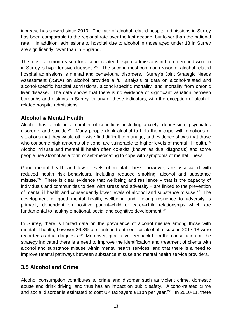increase has slowed since 2010. The rate of alcohol-related hospital admissions in Surrey has been comparable to the regional rate over the last decade, but lower than the national rate.<sup>1</sup> In addition, admissions to hospital due to alcohol in those aged under 18 in Surrey are significantly lower than in England.

The most common reason for alcohol-related hospital admissions in both men and women in Surrey is hypertensive diseases.<sup>23</sup> The second most common reason of alcohol-related hospital admissions is mental and behavioural disorders. Surrey's Joint Strategic Needs Assessment (JSNA) on alcohol provides a full analysis of data on alcohol-related and alcohol-specific hospital admissions, alcohol-specific mortality, and mortality from chronic liver disease. The data shows that there is no evidence of significant variation between boroughs and districts in Surrey for any of these indicators, with the exception of alcoholrelated hospital admissions.

#### **Alcohol & Mental Health**

Alcohol has a role in a number of conditions including anxiety, depression, psychiatric disorders and suicide.[24](#page-31-4) Many people drink alcohol to help them cope with emotions or situations that they would otherwise find difficult to manage, and evidence shows that those who consume high amounts of alcohol are vulnerable to higher levels of mental ill health.<sup>25</sup> Alcohol misuse and mental ill health often co-exist (known as dual diagnosis) and some people use alcohol as a form of self-medicating to cope with symptoms of mental illness.

<span id="page-12-0"></span>Good mental health and lower levels of mental illness, however, are associated with reduced health risk behaviours, including reduced smoking, alcohol and substance misuse.<sup>26</sup> There is clear evidence that wellbeing and resilience – that is the capacity of individuals and communities to deal with stress and adversity – are linked to the prevention of mental ill health and consequently lower levels of alcohol and substance misuse[.26](#page-12-0) The development of good mental health, wellbeing and lifelong resilience to adversity is primarily dependent on positive parent–child or carer–child relationships which are fundamental to healthy emotional, social and cognitive development[.26](#page-12-0)

In Surrey, there is limited data on the prevalence of alcohol misuse among those with mental ill health, however 26.8% of clients in treatment for alcohol misuse in 2017-18 were recorded as dual diagnosis[.19](#page-11-0) Moreover, qualitative feedback from the consultation on the strategy indicated there is a need to improve the identification and treatment of clients with alcohol and substance misuse within mental health services, and that there is a need to improve referral pathways between substance misuse and mental health service providers.

#### **3.5 Alcohol and Crime**

Alcohol consumption contributes to crime and disorder such as violent crime, domestic abuse and drink driving, and thus has an impact on public safety. Alcohol-related crime and social disorder is estimated to cost UK taxpayers £11bn per year.<sup>27</sup> In 2010-11, there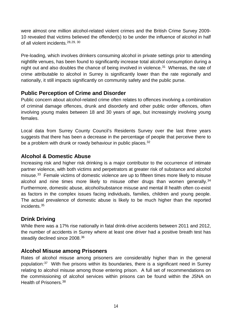were almost one million alcohol-related violent crimes and the British Crime Survey 2009- 10 revealed that victims believed the offender(s) to be under the influence of alcohol in half of all violent incidents.[28,](#page-31-8)[29](#page-31-9), [30](#page-31-10)

Pre-loading, which involves drinkers consuming alcohol in private settings prior to attending nightlife venues, has been found to significantly increase total alcohol consumption during a night out and also doubles the chance of being involved in violence.<sup>31</sup> Whereas, the rate of crime attributable to alcohol in Surrey is significantly lower than the rate regionally and nationally, it still impacts significantly on community safety and the public purse.

#### **Public Perception of Crime and Disorder**

Public concern about alcohol-related crime often relates to offences involving a combination of criminal damage offences, drunk and disorderly and other public order offences, often involving young males between 18 and 30 years of age, but increasingly involving young females.

Local data from Surrey County Council's Residents Survey over the last three years suggests that there has been a decrease in the percentage of people that perceive there to be a problem with drunk or rowdy behaviour in public places.<sup>32</sup>

#### **Alcohol & Domestic Abuse**

Increasing risk and higher risk drinking is a major contributor to the occurrence of intimate partner violence, with both victims and perpetrators at greater risk of substance and alcohol misuse. [33](#page-31-13) Female victims of domestic violence are up to fifteen times more likely to misuse alcohol and nine times more likely to misuse other drugs than women generally. $34$ Furthermore, domestic abuse, alcohol/substance misuse and mental ill health often co-exist as factors in the complex issues facing individuals, families, children and young people. The actual prevalence of domestic abuse is likely to be much higher than the reported incidents. [35](#page-31-15)

#### **Drink Driving**

While there was a 17% rise nationally in fatal drink-drive accidents between 2011 and 2012, the number of accidents in Surrey where at least one driver had a positive breath test has steadily declined since 2008.<sup>[36](#page-31-16)</sup>

#### **Alcohol Misuse among Prisoners**

Rates of alcohol misuse among prisoners are considerably higher than in the general population:[37](#page-31-17) With five prisons within its boundaries, there is a significant need in Surrey relating to alcohol misuse among those entering prison. A full set of recommendations on the commissioning of alcohol services within prisons can be found within the JSNA on Health of Prisoners.[38](#page-31-18)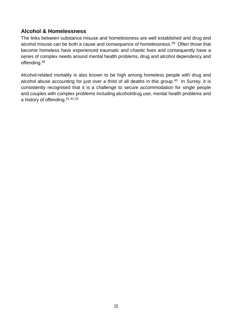#### **Alcohol & Homelessness**

<span id="page-14-0"></span>The links between substance misuse and homelessness are well established and drug and alcohol misuse can be both a cause and consequence of homelessness.<sup>[39](#page-31-19)</sup> Often those that become homeless have experienced traumatic and chaotic lives and consequently have a series of complex needs around mental health problems, drug and alcohol dependency and offending[.39](#page-14-0)

Alcohol-related mortality is also known to be high among homeless people with drug and alcohol abuse accounting for just over a third of all deaths in this group.<sup>40</sup> In Surrey, it is consistently recognised that it is a challenge to secure accommodation for single people and couples with complex problems including alcohol/drug use, mental health problems and a history of offending.[41](#page-31-20),[42,](#page-31-21)[43](#page-31-22)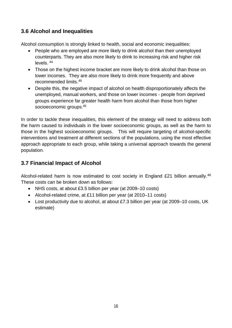#### **3.6 Alcohol and Inequalities**

Alcohol consumption is strongly linked to health, social and economic inequalities:

- People who are employed are more likely to drink alcohol than their unemployed counterparts. They are also more likely to drink to increasing risk and higher risk levels. [44](#page-31-23)
- Those on the highest income bracket are more likely to drink alcohol than those on lower incomes. They are also more likely to drink more frequently and above recommended limits.[45](#page-31-24)
- <span id="page-15-0"></span>• Despite this, the negative impact of alcohol on health disproportionately affects the unemployed, manual workers, and those on lower incomes - people from deprived groups experience far greater health harm from alcohol than those from higher socioeconomic groups[.45](#page-15-0)

In order to tackle these inequalities, this element of the strategy will need to address both the harm caused to individuals in the lower socioeconomic groups, as well as the harm to those in the highest socioeconomic groups. This will require targeting of alcohol-specific interventions and treatment at different sections of the populations, using the most effective approach appropriate to each group, while taking a universal approach towards the general population.

### **3.7 Financial Impact of Alcohol**

Alcohol-related harm is now estimated to cost society in England £21 billion annually.<sup>[46](#page-31-25)</sup> These costs can be broken down as follows:

- NHS costs, at about £3.5 billion per year (at 2009–10 costs)
- Alcohol-related crime, at £11 billion per year (at 2010–11 costs)
- Lost productivity due to alcohol, at about £7.3 billion per year (at 2009–10 costs, UK estimate)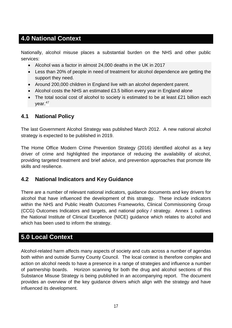# **4.0 National Context**

Nationally, alcohol misuse places a substantial burden on the NHS and other public services:

- Alcohol was a factor in almost 24,000 deaths in the UK in 2017
- Less than 20% of people in need of treatment for alcohol dependence are getting the support they need.
- Around 200,000 children in England live with an alcohol dependent parent.
- Alcohol costs the NHS an estimated £3.5 billion every year in England alone
- <span id="page-16-0"></span>• The total social cost of alcohol to society is estimated to be at least £21 billion each year.<sup>[47](#page-31-26)</sup>

#### **4.1 National Policy**

The last Government Alcohol Strategy was published March 2012. A new national alcohol strategy is expected to be published in 2019.

The Home Office Modern Crime Prevention Strategy (2016) identified alcohol as a key driver of crime and highlighted the importance of reducing the availability of alcohol, providing targeted treatment and brief advice, and prevention approaches that promote life skills and resilience.

#### **4.2 National Indicators and Key Guidance**

There are a number of relevant national indicators, guidance documents and key drivers for alcohol that have influenced the development of this strategy. These include indicators within the NHS and Public Health Outcomes Frameworks, Clinical Commissioning Group (CCG) Outcomes Indicators and targets, and national policy / strategy. Annex 1 outlines the National Institute of Clinical Excellence (NICE) guidance which relates to alcohol and which has been used to inform the strategy.

# **5.0 Local Context**

Alcohol-related harm affects many aspects of society and cuts across a number of agendas both within and outside Surrey County Council. The local context is therefore complex and action on alcohol needs to have a presence in a range of strategies and influence a number of partnership boards. Horizon scanning for both the drug and alcohol sections of this Substance Misuse Strategy is being published in an accompanying report. The document provides an overview of the key guidance drivers which align with the strategy and have influenced its development.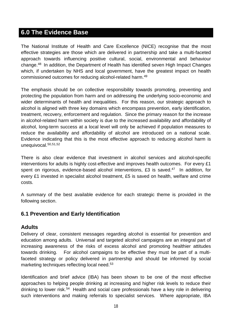# **6.0 The Evidence Base**

The National Institute of Health and Care Excellence (NICE) recognise that the most effective strategies are those which are delivered in partnership and take a multi-faceted approach towards influencing positive cultural, social, environmental and behaviour change.[48](#page-31-27) In addition, the Department of Health has identified seven High Impact Changes which, if undertaken by NHS and local government, have the greatest impact on health commissioned outcomes for reducing alcohol-related harm. [49](#page-31-28)

The emphasis should be on collective responsibility towards promoting, preventing and protecting the population from harm and on addressing the underlying socio-economic and wider determinants of health and inequalities. For this reason, our strategic approach to alcohol is aligned with three key domains which encompass prevention, early identification, treatment, recovery, enforcement and regulation. Since the primary reason for the increase in alcohol-related harm within society is due to the increased availability and affordability of alcohol, long-term success at a local level will only be achieved if population measures to reduce the availability and affordability of alcohol are introduced on a national scale. Evidence indicating that this is the most effective approach to reducing alcohol harm is unequivocal.<sup>[50,](#page-31-29)[51](#page-31-30),[52](#page-31-31)</sup>

There is also clear evidence that investment in alcohol services and alcohol-specific interventions for adults is highly cost-effective and improves health outcomes. For every £1 spent on rigorous, evidence-based alcohol interventions, £3 is saved.<sup>47</sup> In addition, for every £1 invested in specialist alcohol treatment, £5 is saved on health, welfare and crime costs.

A summary of the best available evidence for each strategic theme is provided in the following section.

#### **6.1 Prevention and Early Identification**

#### **Adults**

Delivery of clear, consistent messages regarding alcohol is essential for prevention and education among adults. Universal and targeted alcohol campaigns are an integral part of increasing awareness of the risks of excess alcohol and promoting healthier attitudes towards drinking. For alcohol campaigns to be effective they must be part of a multifaceted strategy or policy delivered in partnership and should be informed by social marketing techniques reflecting local need. [53](#page-31-32)

<span id="page-17-0"></span>Identification and brief advice (IBA) has been shown to be one of the most effective approaches to helping people drinking at increasing and higher risk levels to reduce their drinking to lower risk.<sup>54</sup> Health and social care professionals have a key role in delivering such interventions and making referrals to specialist services. Where appropriate, IBA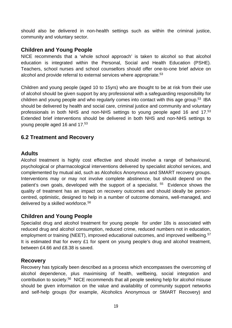should also be delivered in non-health settings such as within the criminal justice, community and voluntary sector.

#### **Children and Young People**

NICE recommends that a 'whole school approach' is taken to alcohol so that alcohol education is integrated within the Personal, Social and Health Education (PSHE). Teachers, school nurses and school counsellors should offer one-to-one brief advice on alcohol and provide referral to external services where appropriate.<sup>53</sup>

Children and young people (aged 10 to 15yrs) who are thought to be at risk from their use of alcohol should be given support by any professional with a safeguarding responsibility for children and young people and who regularly comes into contact with this age group. [53](#page-17-0) IBA should be delivered by health and social care, criminal justice and community and voluntary professionals in both NHS and non-NHS settings to young people aged 16 and 17[.53](#page-17-0)  Extended brief interventions should be delivered in both NHS and non-NHS settings to young people aged 16 and 17.<sup>53</sup>

#### **6.2 Treatment and Recovery**

#### **Adults**

<span id="page-18-1"></span>Alcohol treatment is highly cost effective and should involve a range of behavioural, psychological or pharmacological interventions delivered by specialist alcohol services, and complemented by mutual aid, such as Alcoholics Anonymous and SMART recovery groups. Interventions may or may not involve complete abstinence, but should depend on the patient's own goals, developed with the support of a specialist. <sup>[55](#page-31-34)</sup> Evidence shows the quality of treatment has an impact on recovery outcomes and should ideally be personcentred, optimistic, designed to help in a number of outcome domains, well-managed, and delivered by a skilled workforce. [56](#page-31-35)

#### <span id="page-18-0"></span>**Children and Young People**

Specialist drug and alcohol treatment for young people for under 18s is associated with reduced drug and alcohol consumption, reduced crime, reduced numbers not in education, employment or training (NEET), improved educational outcomes, and improved wellbeing.<sup>[57](#page-31-36)</sup> It is estimated that for every £1 for spent on young people's drug and alcohol treatment, between £4.66 and £8.38 is saved.

#### **Recovery**

Recovery has typically been described as a process which encompasses the overcoming of alcohol dependence, plus maximising of health, wellbeing, social integration and contribution to society[.56](#page-18-0) NICE recommends that all people seeking help for alcohol misuse should be given information on the value and availability of community support networks and self-help groups (for example, Alcoholics Anonymous or SMART Recovery) and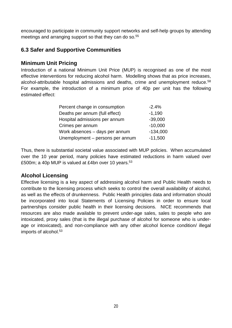encouraged to participate in community support networks and self-help groups by attending meetings and arranging support so that they can do so.<sup>55</sup>

#### **6.3 Safer and Supportive Communities**

#### **Minimum Unit Pricing**

Introduction of a national Minimum Unit Price (MUP) is recognised as one of the most effective interventions for reducing alcohol harm. Modelling shows that as price increases, alcohol-attributable hospital admissions and deaths, crime and unemployment reduce. [58](#page-31-37) For example, the introduction of a minimum price of 40p per unit has the following estimated effect:

| Percent change in consumption    | $-2.4%$    |
|----------------------------------|------------|
| Deaths per annum (full effect)   | $-1,190$   |
| Hospital admissions per annum    | $-39,000$  |
| Crimes per annum                 | $-10,000$  |
| Work absences - days per annum   | $-134,000$ |
| Unemployment - persons per annum | $-11,500$  |

Thus, there is substantial societal value associated with MUP policies. When accumulated over the 10 year period, many policies have estimated reductions in harm valued over £500m; a 40p MUP is valued at £4bn over 10 years.<sup>[53](#page-17-0)</sup>

#### **Alcohol Licensing**

Effective licensing is a key aspect of addressing alcohol harm and Public Health needs to contribute to the licensing process which seeks to control the overall availability of alcohol, as well as the effects of drunkenness. Public Health principles data and information should be incorporated into local Statements of Licensing Policies in order to ensure local partnerships consider public health in their licensing decisions. NICE recommends that resources are also made available to prevent under-age sales, sales to people who are intoxicated, proxy sales (that is the illegal purchase of alcohol for someone who is underage or intoxicated), and non-compliance with any other alcohol licence condition/ illegal imports of alcohol.<sup>53</sup>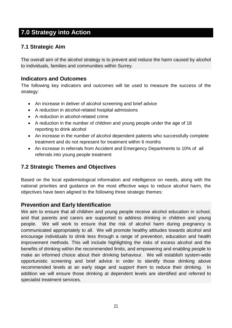# **7.0 Strategy into Action**

#### **7.1 Strategic Aim**

The overall aim of the alcohol strategy is to prevent and reduce the harm caused by alcohol to individuals, families and communities within Surrey.

#### **Indicators and Outcomes**

The following key indicators and outcomes will be used to measure the success of the strategy:

- An increase in deliver of alcohol screening and brief advice
- A reduction in alcohol-related hospital admissions
- A reduction in alcohol-related crime
- A reduction in the number of children and young people under the age of 18 reporting to drink alcohol
- An increase in the number of alcohol dependent patients who successfully complete treatment and do not represent for treatment within 6 months
- An increase in referrals from Accident and Emergency Departments to 10% of all referrals into young people treatment

#### **7.2 Strategic Themes and Objectives**

Based on the local epidemiological information and intelligence on needs, along with the national priorities and guidance on the most effective ways to reduce alcohol harm, the objectives have been aligned to the following three strategic themes:

#### **Prevention and Early Identification**

We aim to ensure that all children and young people receive alcohol education in school, and that parents and carers are supported to address drinking in children and young people. We will work to ensure that the risk of alcohol harm during pregnancy is communicated appropriately to all. We will promote healthy attitudes towards alcohol and encourage individuals to drink less through a range of prevention, education and health improvement methods. This will include highlighting the risks of excess alcohol and the benefits of drinking within the recommended limits, and empowering and enabling people to make an informed choice about their drinking behaviour. We will establish system-wide opportunistic screening and brief advice in order to identify those drinking above recommended levels at an early stage and support them to reduce their drinking. In addition we will ensure those drinking at dependent levels are identified and referred to specialist treatment services.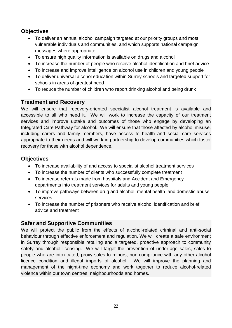#### **Objectives**

- To deliver an annual alcohol campaign targeted at our priority groups and most vulnerable individuals and communities, and which supports national campaign messages where appropriate
- To ensure high quality information is available on drugs and alcohol
- To increase the number of people who receive alcohol identification and brief advice
- To increase and improve intelligence on alcohol use in children and young people
- To deliver universal alcohol education within Surrey schools and targeted support for schools in areas of greatest need
- To reduce the number of children who report drinking alcohol and being drunk

#### **Treatment and Recovery**

We will ensure that recovery-oriented specialist alcohol treatment is available and accessible to all who need it. We will work to increase the capacity of our treatment services and improve uptake and outcomes of those who engage by developing an Integrated Care Pathway for alcohol. We will ensure that those affected by alcohol misuse, including carers and family members, have access to health and social care services appropriate to their needs and will work in partnership to develop communities which foster recovery for those with alcohol dependence.

#### **Objectives**

- To increase availability of and access to specialist alcohol treatment services
- To increase the number of clients who successfully complete treatment
- To increase referrals made from hospitals and Accident and Emergency departments into treatment services for adults and young people
- To improve pathways between drug and alcohol, mental health and domestic abuse services
- To increase the number of prisoners who receive alcohol identification and brief advice and treatment

#### **Safer and Supportive Communities**

We will protect the public from the effects of alcohol-related criminal and anti-social behaviour through effective enforcement and regulation. We will create a safe environment in Surrey through responsible retailing and a targeted, proactive approach to community safety and alcohol licensing. We will target the prevention of under-age sales, sales to people who are intoxicated, proxy sales to minors, non-compliance with any other alcohol licence condition and illegal imports of alcohol. We will improve the planning and management of the night-time economy and work together to reduce alcohol-related violence within our town centres, neighbourhoods and homes.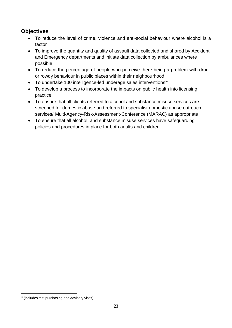#### **Objectives**

- To reduce the level of crime, violence and anti-social behaviour where alcohol is a factor
- To improve the quantity and quality of assault data collected and shared by Accident and Emergency departments and initiate data collection by ambulances where possible
- To reduce the percentage of people who perceive there being a problem with drunk or rowdy behaviour in public places within their neighbourhood
- To undertake 100 intelligence-led underage sales interventions<sup>[iv](#page-22-0)</sup>
- To develop a process to incorporate the impacts on public health into licensing practice
- To ensure that all clients referred to alcohol and substance misuse services are screened for domestic abuse and referred to specialist domestic abuse outreach services/ Multi-Agency-Risk-Assessment-Conference (MARAC) as appropriate
- To ensure that all alcohol and substance misuse services have safeguarding policies and procedures in place for both adults and children

<span id="page-22-0"></span>iv (includes test purchasing and advisory visits) <u>.</u>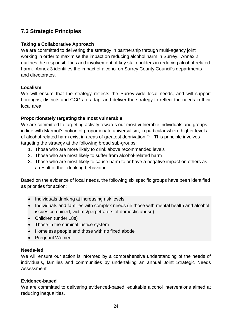#### **7.3 Strategic Principles**

#### **Taking a Collaborative Approach**

We are committed to delivering the strategy in partnership through multi-agency joint working in order to maximise the impact on reducing alcohol harm in Surrey. Annex 2 outlines the responsibilities and involvement of key stakeholders in reducing alcohol-related harm. Annex 3 identifies the impact of alcohol on Surrey County Council's departments and directorates.

#### **Localism**

We will ensure that the strategy reflects the Surrey-wide local needs, and will support boroughs, districts and CCGs to adapt and deliver the strategy to reflect the needs in their local area.

#### **Proportionately targeting the most vulnerable**

We are committed to targeting activity towards our most vulnerable individuals and groups in line with Marmot's notion of proportionate universalism, in particular where higher levels of alcohol-related harm exist in areas of greatest deprivation.<sup>[59](#page-31-38)</sup> This principle involves targeting the strategy at the following broad sub-groups:

- 1. Those who are more likely to drink above recommended levels
- 2. Those who are most likely to suffer from alcohol-related harm
- 3. Those who are most likely to cause harm to or have a negative impact on others as a result of their drinking behaviour

Based on the evidence of local needs, the following six specific groups have been identified as priorities for action:

- Individuals drinking at increasing risk levels
- Individuals and families with complex needs (ie those with mental health and alcohol issues combined, victims/perpetrators of domestic abuse)
- Children (under 18s)
- Those in the criminal justice system
- Homeless people and those with no fixed abode
- Pregnant Women

#### **Needs-led**

We will ensure our action is informed by a comprehensive understanding of the needs of individuals, families and communities by undertaking an annual Joint Strategic Needs Assessment

#### **Evidence-based**

We are committed to delivering evidenced-based, equitable alcohol interventions aimed at reducing inequalities.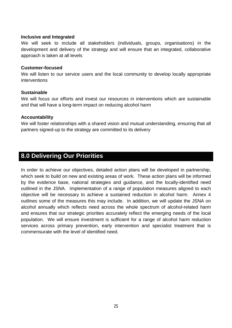#### **Inclusive and Integrated**

We will seek to include all stakeholders (individuals, groups, organisations) in the development and delivery of the strategy and will ensure that an integrated, collaborative approach is taken at all levels

#### **Customer-focused**

We will listen to our service users and the local community to develop locally appropriate interventions

#### **Sustainable**

We will focus our efforts and invest our resources in interventions which are sustainable and that will have a long-term impact on reducing alcohol harm

#### **Accountability**

We will foster relationships with a shared vision and mutual understanding, ensuring that all partners signed-up to the strategy are committed to its delivery

#### **8.0 Delivering Our Priorities**

In order to achieve our objectives, detailed action plans will be developed in partnership, which seek to build on new and existing areas of work. These action plans will be informed by the evidence base, national strategies and guidance, and the locally-identified need outlined in the JSNA. Implementation of a range of population measures aligned to each objective will be necessary to achieve a sustained reduction in alcohol harm. Annex 4 outlines some of the measures this may include. In addition, we will update the JSNA on alcohol annually which reflects need across the whole spectrum of alcohol-related harm and ensures that our strategic priorities accurately reflect the emerging needs of the local population. We will ensure investment is sufficient for a range of alcohol harm reduction services across primary prevention, early intervention and specialist treatment that is commensurate with the level of identified need.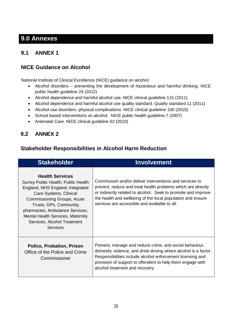# **9.0 Annexes**

# **9.1 ANNEX 1**

#### **NICE Guidance on Alcohol**

National Institute of Clinical Excellence (NICE) guidance on alcohol:

- Alcohol disorders preventing the development of hazardous and harmful drinking. NICE public health guideline 24 (2012)
- Alcohol dependence and harmful alcohol use. NICE clinical guideline 115 (2011)
- Alcohol dependence and harmful alcohol use quality standard. Quality standard 11 (2011)
- Alcohol use disorders: physical complications. NICE clinical guideline 100 (2010)
- School based interventions on alcohol. NICE public health guideline 7 (2007)
- Antenatal Care. NICE clinical guideline 62 (2010)

#### **9.2 ANNEX 2**

#### **Stakeholder Responsibilities in Alcohol Harm Reduction**

| <b>Stakeholder</b>                                                                                                                                                                                                                                                                                             | <b>Involvement</b>                                                                                                                                                                                                                                                                                       |
|----------------------------------------------------------------------------------------------------------------------------------------------------------------------------------------------------------------------------------------------------------------------------------------------------------------|----------------------------------------------------------------------------------------------------------------------------------------------------------------------------------------------------------------------------------------------------------------------------------------------------------|
| <b>Health Services</b><br>Surrey Public Health, Public Health<br>England, NHS England, Integrated<br>Care Systems, Clinical<br>Commissioning Groups, Acute<br>Trusts, GPs, Community<br>pharmacies, Ambulance Services,<br><b>Mental Health Services, Maternity</b><br>Services, Alcohol Treatment<br>Services | Commission and/or deliver interventions and services to<br>prevent, reduce and treat health problems which are directly<br>or indirectly related to alcohol. Seek to promote and improve<br>the health and wellbeing of the local population and ensure<br>services are accessible and available to all. |
| <b>Police, Probation, Prison</b><br>Office of the Police and Crime<br>Commissioner                                                                                                                                                                                                                             | Prevent, manage and reduce crime, anti-social behaviour,<br>domestic violence, and drink-driving where alcohol is a factor.<br>Responsibilities include alcohol enforcement licensing and<br>provision of support to offenders to help them engage with<br>alcohol treatment and recovery.               |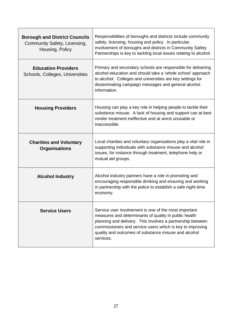| <b>Borough and District Councils</b><br>Community Safety, Licensing,<br>Housing, Policy | Responsibilities of boroughs and districts include community<br>safety, licensing, housing and policy. In particular,<br>involvement of boroughs and districts in Community Safety<br>Partnerships is key to tackling local issues relating to alcohol.                                                        |
|-----------------------------------------------------------------------------------------|----------------------------------------------------------------------------------------------------------------------------------------------------------------------------------------------------------------------------------------------------------------------------------------------------------------|
| <b>Education Providers</b><br>Schools, Colleges, Universities                           | Primary and secondary schools are responsible for delivering<br>alcohol education and should take a 'whole school' approach<br>to alcohol. Colleges and universities are key settings for<br>disseminating campaign messages and general alcohol<br>information.                                               |
| <b>Housing Providers</b>                                                                | Housing can play a key role in helping people to tackle their<br>substance misuse. A lack of housing and support can at best<br>render treatment ineffective and at worst unusable or<br>inaccessible.                                                                                                         |
| <b>Charities and Voluntary</b><br><b>Organisations</b>                                  | Local charities and voluntary organisations play a vital role in<br>supporting individuals with substance misuse and alcohol<br>issues, for instance through treatment, telephone help or<br>mutual aid groups.                                                                                                |
| <b>Alcohol Industry</b>                                                                 | Alcohol industry partners have a role in promoting and<br>encouraging responsible drinking and ensuring and working<br>in partnership with the police to establish a safe night-time<br>economy.                                                                                                               |
| <b>Service Users</b>                                                                    | Service user involvement is one of the most important<br>measures and determinants of quality in public health<br>planning and delivery. This involves a partnership between<br>commissioners and service users which is key to improving<br>quality and outcomes of substance misuse and alcohol<br>services. |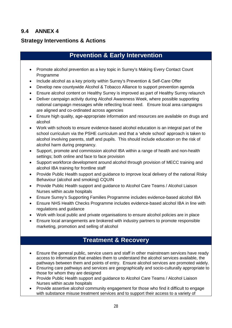#### **9.4 ANNEX 4**

#### **Strategy Interventions & Actions**

# **Prevention & Early Intervention**

- Promote alcohol prevention as a key topic in Surrey's Making Every Contact Count Programme
- Include alcohol as a key priority within Surrey's Prevention & Self-Care Offer
- Develop new countywide Alcohol & Tobacco Alliance to support prevention agenda
- Ensure alcohol content on Healthy Surrey is improved as part of Healthy Surrey relaunch
- Deliver campaign activity during Alcohol Awareness Week, where possible supporting national campaign messages while reflecting local need. Ensure local area campaigns are aligned and co-ordinated across agencies
- Ensure high quality, age-appropriate information and resources are available on drugs and alcohol
- Work with schools to ensure evidence-based alcohol education is an integral part of the school curriculum via the PSHE curriculum and that a 'whole school' approach is taken to alcohol involving parents, staff and pupils. This should include education on the risk of alcohol harm during pregnancy.
- Support, promote and commission alcohol IBA within a range of health and non-health settings; both online and face to face provision
- Support workforce development around alcohol through provision of MECC training and alcohol IBA training for frontline staff
- Provide Public Health support and guidance to improve local delivery of the national Risky Behaviour (alcohol and smoking) CQUIN
- Provide Public Health support and guidance to Alcohol Care Teams / Alcohol Liaison Nurses within acute hospitals
- Ensure Surrey's Supporting Families Programme includes evidence-based alcohol IBA
- Ensure NHS Health Checks Programme includes evidence-based alcohol IBA in line with regulations and guidance
- Work with local public and private organisations to ensure alcohol policies are in place
- Ensure local arrangements are brokered with industry partners to promote responsible marketing, promotion and selling of alcohol

# **Treatment & Recovery**

- Ensure the general public, service users and staff in other mainstream services have ready access to information that enables them to understand the alcohol services available, the pathways between them and points of entry. Ensure alcohol services are promoted widely.
- Ensuring care pathways and services are geographically and socio-culturally appropriate to those for whom they are designed
- Provide Public Health support and guidance to Alcohol Care Teams / Alcohol Liaison Nurses within acute hospitals
- Provide assertive alcohol community engagement for those who find it difficult to engage with substance misuse treatment services and to support their access to a variety of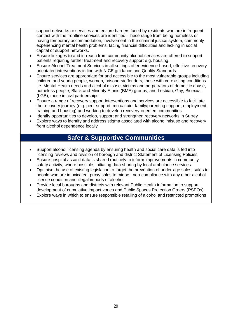support networks or services and ensure barriers faced by residents who are in frequent contact with the frontline services are identified. These range from being homeless or having temporary accommodation, involvement in the criminal justice system, commonly experiencing mental health problems, facing financial difficulties and lacking in social capital or support networks.

- Ensure linkages to and in-reach from community alcohol services are offered to support patients requiring further treatment and recovery support e.g. housing.
- Ensure Alcohol Treatment Services in all settings offer evidence-based, effective recoveryorientated interventions in line with NICE guidance and Quality Standards
- Ensure services are appropriate for and accessible to the most vulnerable groups including children and young people, women, prisoners/offenders, those with co-existing conditions i.e. Mental Health needs and alcohol misuse, victims and perpetrators of domestic abuse, homeless people, Black and Minority Ethnic (BME) groups, and Lesbian, Gay, Bisexual (LGB), those in civil partnerships
- Ensure a range of recovery support interventions and services are accessible to facilitate the recovery journey (e.g. peer support, mutual aid, family/parenting support, employment, training and housing) and working to develop recovery-oriented communities
- Identify opportunities to develop, support and strengthen recovery networks in Surrey
- Explore ways to identify and address stigma associated with alcohol misuse and recovery from alcohol dependence locally

#### **Safer & Supportive Communities**

- Support alcohol licensing agenda by ensuring health and social care data is fed into licensing reviews and revision of borough and district Statement of Licensing Policies
- Ensure hospital assault data is shared routinely to inform improvements in community safety activity, where possible, initiating data sharing by local ambulance services.
- Optimise the use of existing legislation to target the prevention of under-age sales, sales to people who are intoxicated, proxy sales to minors, non-compliance with any other alcohol licence condition and illegal imports of alcohol
- Provide local boroughs and districts with relevant Public Health information to support development of cumulative impact zones and Public Spaces Protection Orders (PSPOs)
- Explore ways in which to ensure responsible retailing of alcohol and restricted promotions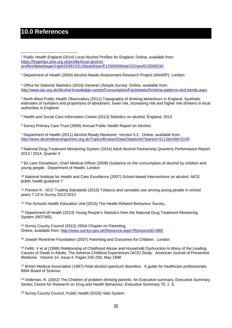# **10.0 References**

<sup>1</sup> Public Health England (2014) Local Alcohol Profiles for England. Online, available from [https://fingertips.phe.org.uk/profile/local-alcohol](https://fingertips.phe.org.uk/profile/local-alcohol-profiles/data%23page/1/gid/1938133118/pat/6/par/E12000008/ati/102/are/E10000030)[profiles/data#page/1/gid/1938133118/pat/6/par/E12000008/ati/102/are/E10000030](https://fingertips.phe.org.uk/profile/local-alcohol-profiles/data%23page/1/gid/1938133118/pat/6/par/E12000008/ati/102/are/E10000030) <u>.</u>

<sup>2</sup> Department of Health (2004) Alcohol Needs Assessment Research Project (ANARP). London

<sup>3</sup> Office for National Statistics (2010) General Lifestyle Survey. Online, available from: <http://www.ias.org.uk/Alcohol-knowledge-centre/Consumption/Factsheets/Drinking-patterns-and-trends.aspx>

<sup>4</sup> North West Public Health Observatory (2011) Topography of drinking behaviours in England. Synthetic estimates of numbers and proportions of abstainers, lower risk, increasing risk and higher risk drinkers in local authorities in England.

<sup>5</sup> Health and Social Care Information Centre (2013) Statistics on alcohol: England, 2013

<sup>6</sup> Surrey Primary Care Trust (2009) Annual Public Health Report on Alcohol.

<sup>7</sup> Department of Health (2011) Alcohol Ready Reckoner. Version 5.2. Online, available from: <http://www.alcohollearningcentre.org.uk/Topics/Browse/Data/Datatools/?parent=5113&child=5109>

<sup>8</sup> National Drug Treatment Monitoring System (2014) Adult Alcohol Partnership Quarterly Performance Report 2013 / 2014, Quarter 4

<sup>9</sup> Sir Liam Donaldson, Chief Medical Officer (2009) Guidance on the consumption of alcohol by children and young people. Department of Health, London

<sup>10</sup> National Institute for Health and Care Excellence (2007) School-based Interventions on alcohol. NICE public health guidance 7

<sup>11</sup> Preston K - SCC Trading Standards (2013) Tobacco and cannabis use among young people in school years 7-13 in Surrey 2012-2013

<sup>12</sup> The Schools Health Education Unit (2015) The Health-Related Behaviour Survey.

<sup>13</sup> Department of Health (2013) Young People's Statistics from the National Drug Treatment Monitoring System (NDTMS).

<sup>14</sup> Surrey County Council (2012) JSNA Chapter on Parenting. Online, available from:<http://www.surreyi.gov.uk/Resource.aspx?ResourceID=880>

<sup>15</sup> Joseph Rowntree Foundation (2007) Parenting and Outcomes for Children. London.

<sup>16</sup> Felliti, V et al (1998) Relationship of Childhood Abuse and Household Dysfunction to Many of the Leading Causes of Death in Adults: The Adverse Childhod Experiences (ACE) Study. American Journal of Preventive Medicine. Volume 14, Issue 4. Pages 245-258, May 1998

<sup>17</sup> British Medical Association (1997) Fetal alcohol spectrum disorders. A guide for healthcare professionals. BMA Board of Science.

<sup>18</sup> Velleman, R. (2002) The Children of problem drinking parents: An Executive summary, Executive Summary Series; Centre for Research on Drug and Health Behaviour, Executive Summary 70, 1 -5.

<sup>19</sup> Surrey County Council, Public Health (2019) Halo System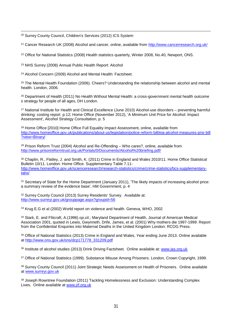<sup>20</sup> Surrey County Council, Children's Services (2012) ICS System -

<sup>21</sup> Cancer Research UK (2008) Alcohol and cancer, online, available from<http://www.cancerresearch.org.uk/>

<span id="page-30-0"></span><sup>22</sup> Office for National Statistics (2008) Health statistics quarterly, Winter 2008, No.40, Newport, ONS.

<sup>23</sup> NHS Surrey (2008) Annual Public Health Report: Alcohol

<span id="page-30-1"></span><sup>24</sup> Alcohol Concern (2009) Alcohol and Mental Health: Factsheet.

<span id="page-30-2"></span><sup>25</sup> The Mental Health Foundation (2006). Cheers? Understanding the relationship between alcohol and mental health. London, 2006.

<span id="page-30-3"></span><sup>26</sup> Department of Health (2011) No Health Without Mental Health: a cross-government mental health outcome s strategy for people of all ages, DH London.

<span id="page-30-4"></span><sup>27</sup> National Institute for Health and Clinical Excellence (June 2010) Alcohol-use disorders – preventing harmful drinking: costing report p.12; Home Office (November 2012), 'A Minimum Unit Price for Alcohol: Impact Assessment', Alcohol Strategy Consultation, p. 5

<span id="page-30-6"></span><span id="page-30-5"></span><sup>28</sup> Home Office [2010] Home Office Full Equality Impact Assessment, online, available from [http://www.homeoffice.gov.uk/publications/about](http://www.homeoffice.gov.uk/publications/about%E2%80%90us/legislation/police%E2%80%90reform%E2%80%90bill/eia%E2%80%90alcohol%E2%80%90measures%E2%80%90prsr%E2%80%90bill?view=Binary/)‐us/legislation/police‐reform‐bill/eia‐alcohol‐measures‐prsr‐bill [?view=Binary/](http://www.homeoffice.gov.uk/publications/about%E2%80%90us/legislation/police%E2%80%90reform%E2%80%90bill/eia%E2%80%90alcohol%E2%80%90measures%E2%80%90prsr%E2%80%90bill?view=Binary/)

<span id="page-30-7"></span> $29$  Prison Reform Trust (2004) Alcohol and Re-Offending – Who cares?, online, available from <http://www.prisonreformtrust.org.uk/Portals/0/Documents/Alcohol%20briefing.pdf/>

<span id="page-30-8"></span><sup>30</sup> Chaplin, R., Flatley, J. and Smith, K. (2011) Crime in England and Wales 2010/11. Home Office Statistical Bulletin 10/11. London: Home Office. Supplementary Table 7.11 [http://www.homeoffice.gov.uk/scienceresearch/research-statistics/crime/crime-statistics/bcs-supplementary](http://www.homeoffice.gov.uk/scienceresearch/research-statistics/crime/crime-statistics/bcs-supplementary-tabs/)[tabs/](http://www.homeoffice.gov.uk/scienceresearch/research-statistics/crime/crime-statistics/bcs-supplementary-tabs/)

<span id="page-30-9"></span><sup>31</sup> Secretary of State for the Home Department (January 2011), 'The likely impacts of increasing alcohol price: a summary review of the evidence base', HM Government, p. 4

<span id="page-30-10"></span><sup>32</sup> Surrey County Council (2013) Surrey Residents' Survey. Available at: <http://www.surreyi.gov.uk/grouppage.aspx?groupid=56>

<span id="page-30-12"></span><span id="page-30-11"></span><sup>33</sup> Krug E.G et al (2002) World report on violence and health. Geneva, WHO, 2002

<span id="page-30-13"></span><sup>34</sup> Stark, E. and Flitcraft, A.(1996) *op.cit*.; Maryland Department of Health, Journal of American Medical Association 2001, quoted in Lewis, Gwynneth, Drife, James, et al. (2001) Why mothers die 1997-1999: Report from the Confidential Enquiries into Maternal Deaths in the United Kingdom London: RCOG Press.

<span id="page-30-14"></span><sup>35</sup> Office of National Statistics (2013) Crime in England and Wales, Year ending June 2013. Online available at [http://www.ons.gov.uk/ons/dcp171778\\_331209.pdf](http://www.ons.gov.uk/ons/dcp171778_331209.pdf)

<span id="page-30-15"></span>36 Institute of alcohol studies (2013) Drink Driving Factsheet. Online available at: [www.ias.org.uk](http://www.ias.org.uk/)

<sup>37</sup> Office of National Statistics (1999). Substance Misuse Among Prisoners. London, Crown Copyright, 1999.

<span id="page-30-16"></span>38 Surrey County Council (2011) Joint Strategic Needs Assessment on Health of Prisoners. Online available at [www.surreyi.gov.uk](http://www.surreyi.gov.uk/)

<span id="page-30-18"></span><span id="page-30-17"></span><sup>39</sup> Joseph Rowntree Foundation (2011) Tackling Homelessness and Exclusion: Understanding Complex Lives. Online available at [www.jrf.org.uk](http://www.jrf.org.uk/)